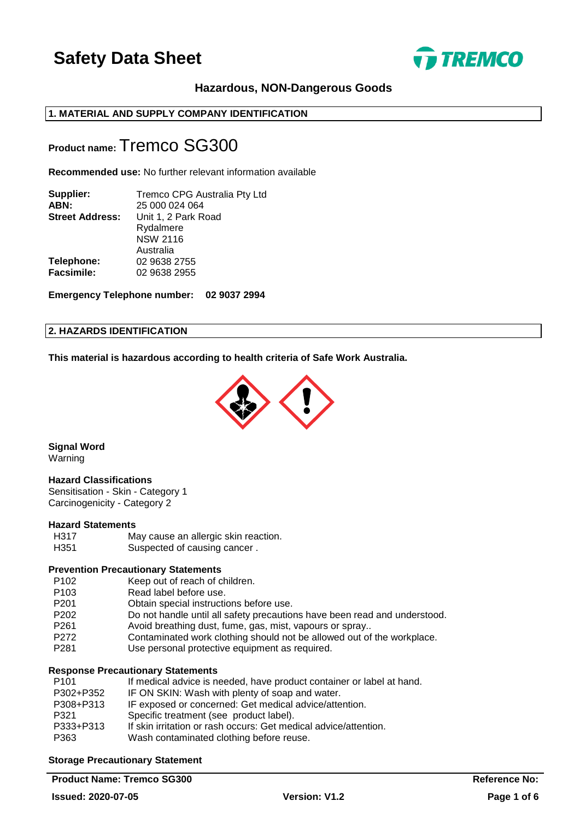

## **Hazardous, NON-Dangerous Goods**

## **1. MATERIAL AND SUPPLY COMPANY IDENTIFICATION**

## **Product name:** Tremco SG300

**Recommended use:** No further relevant information available

| Tremco CPG Australia Pty Ltd<br>25 000 024 064 |
|------------------------------------------------|
|                                                |
| Unit 1, 2 Park Road                            |
| Rydalmere                                      |
| <b>NSW 2116</b>                                |
| Australia                                      |
| 02 9638 2755                                   |
| 02 9638 2955                                   |
|                                                |

**Emergency Telephone number: 02 9037 2994**

#### **2. HAZARDS IDENTIFICATION**

**This material is hazardous according to health criteria of Safe Work Australia.**



**Signal Word**

Warning

#### **Hazard Classifications**

Sensitisation - Skin - Category 1 Carcinogenicity - Category 2

#### **Hazard Statements**

H317 May cause an allergic skin reaction.<br>
H351 Suspected of causing cancer Suspected of causing cancer .

## **Prevention Precautionary Statements**

- P102 Keep out of reach of children.
- P103 Read label before use.
- P201 Obtain special instructions before use.
- P202 Do not handle until all safety precautions have been read and understood.
- P261 Avoid breathing dust, fume, gas, mist, vapours or spray..
- P272 Contaminated work clothing should not be allowed out of the workplace.
- P281 Use personal protective equipment as required.

#### **Response Precautionary Statements**

| P <sub>101</sub> | If medical advice is needed, have product container or label at hand. |
|------------------|-----------------------------------------------------------------------|
| P302+P352        | IF ON SKIN: Wash with plenty of soap and water.                       |
| P308+P313        | IF exposed or concerned: Get medical advice/attention.                |
| P321             | Specific treatment (see product label).                               |
| P333+P313        | If skin irritation or rash occurs: Get medical advice/attention.      |
| P363             | Wash contaminated clothing before reuse.                              |
|                  |                                                                       |

## **Storage Precautionary Statement**

**Product Name: Tremco SG300 Reference No: Reference No: Reference No: Reference No:**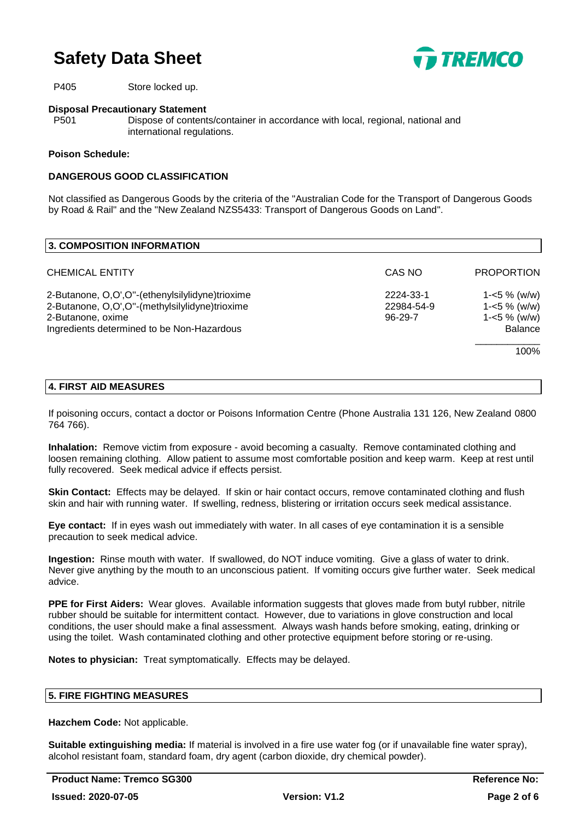

P405 Store locked up.

#### **Disposal Precautionary Statement**

P501 Dispose of contents/container in accordance with local, regional, national and international regulations.

#### **Poison Schedule:**

#### **DANGEROUS GOOD CLASSIFICATION**

Not classified as Dangerous Goods by the criteria of the "Australian Code for the Transport of Dangerous Goods by Road & Rail" and the "New Zealand NZS5433: Transport of Dangerous Goods on Land".

| 3. COMPOSITION INFORMATION                      |               |                   |
|-------------------------------------------------|---------------|-------------------|
| <b>CHEMICAL ENTITY</b>                          | CAS NO        | <b>PROPORTION</b> |
| 2-Butanone, O,O',O"-(ethenylsilylidyne)trioxime | 2224-33-1     | $1 - 5 \%$ (w/w)  |
| 2-Butanone, O,O',O"-(methylsilylidyne)trioxime  | 22984-54-9    | $1 - 5 \%$ (w/w)  |
| 2-Butanone, oxime                               | $96 - 29 - 7$ | $1 - 5 \%$ (w/w)  |
| Ingredients determined to be Non-Hazardous      |               | <b>Balance</b>    |
|                                                 |               | 100%              |

#### **4. FIRST AID MEASURES**

If poisoning occurs, contact a doctor or Poisons Information Centre (Phone Australia 131 126, New Zealand 0800 764 766).

**Inhalation:** Remove victim from exposure - avoid becoming a casualty. Remove contaminated clothing and loosen remaining clothing. Allow patient to assume most comfortable position and keep warm. Keep at rest until fully recovered. Seek medical advice if effects persist.

**Skin Contact:** Effects may be delayed. If skin or hair contact occurs, remove contaminated clothing and flush skin and hair with running water. If swelling, redness, blistering or irritation occurs seek medical assistance.

**Eye contact:** If in eyes wash out immediately with water. In all cases of eye contamination it is a sensible precaution to seek medical advice.

**Ingestion:** Rinse mouth with water. If swallowed, do NOT induce vomiting. Give a glass of water to drink. Never give anything by the mouth to an unconscious patient. If vomiting occurs give further water. Seek medical advice.

**PPE for First Aiders:** Wear gloves. Available information suggests that gloves made from butyl rubber, nitrile rubber should be suitable for intermittent contact. However, due to variations in glove construction and local conditions, the user should make a final assessment. Always wash hands before smoking, eating, drinking or using the toilet. Wash contaminated clothing and other protective equipment before storing or re-using.

**Notes to physician:** Treat symptomatically. Effects may be delayed.

#### **5. FIRE FIGHTING MEASURES**

**Hazchem Code:** Not applicable.

**Suitable extinguishing media:** If material is involved in a fire use water fog (or if unavailable fine water spray), alcohol resistant foam, standard foam, dry agent (carbon dioxide, dry chemical powder).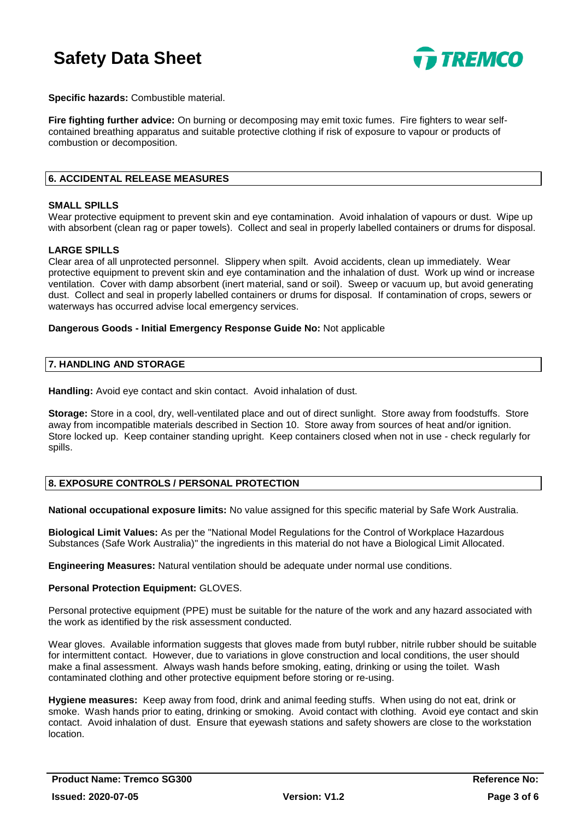

**Specific hazards:** Combustible material.

**Fire fighting further advice:** On burning or decomposing may emit toxic fumes. Fire fighters to wear selfcontained breathing apparatus and suitable protective clothing if risk of exposure to vapour or products of combustion or decomposition.

#### **6. ACCIDENTAL RELEASE MEASURES**

#### **SMALL SPILLS**

Wear protective equipment to prevent skin and eye contamination. Avoid inhalation of vapours or dust. Wipe up with absorbent (clean rag or paper towels). Collect and seal in properly labelled containers or drums for disposal.

#### **LARGE SPILLS**

Clear area of all unprotected personnel. Slippery when spilt. Avoid accidents, clean up immediately. Wear protective equipment to prevent skin and eye contamination and the inhalation of dust. Work up wind or increase ventilation. Cover with damp absorbent (inert material, sand or soil). Sweep or vacuum up, but avoid generating dust. Collect and seal in properly labelled containers or drums for disposal. If contamination of crops, sewers or waterways has occurred advise local emergency services.

**Dangerous Goods - Initial Emergency Response Guide No:** Not applicable

## **7. HANDLING AND STORAGE**

**Handling:** Avoid eye contact and skin contact. Avoid inhalation of dust.

**Storage:** Store in a cool, dry, well-ventilated place and out of direct sunlight. Store away from foodstuffs. Store away from incompatible materials described in Section 10. Store away from sources of heat and/or ignition. Store locked up. Keep container standing upright. Keep containers closed when not in use - check regularly for spills.

#### **8. EXPOSURE CONTROLS / PERSONAL PROTECTION**

**National occupational exposure limits:** No value assigned for this specific material by Safe Work Australia.

**Biological Limit Values:** As per the "National Model Regulations for the Control of Workplace Hazardous Substances (Safe Work Australia)" the ingredients in this material do not have a Biological Limit Allocated.

**Engineering Measures:** Natural ventilation should be adequate under normal use conditions.

#### **Personal Protection Equipment:** GLOVES.

Personal protective equipment (PPE) must be suitable for the nature of the work and any hazard associated with the work as identified by the risk assessment conducted.

Wear gloves. Available information suggests that gloves made from butyl rubber, nitrile rubber should be suitable for intermittent contact. However, due to variations in glove construction and local conditions, the user should make a final assessment. Always wash hands before smoking, eating, drinking or using the toilet. Wash contaminated clothing and other protective equipment before storing or re-using.

**Hygiene measures:** Keep away from food, drink and animal feeding stuffs. When using do not eat, drink or smoke. Wash hands prior to eating, drinking or smoking. Avoid contact with clothing. Avoid eye contact and skin contact. Avoid inhalation of dust. Ensure that eyewash stations and safety showers are close to the workstation location.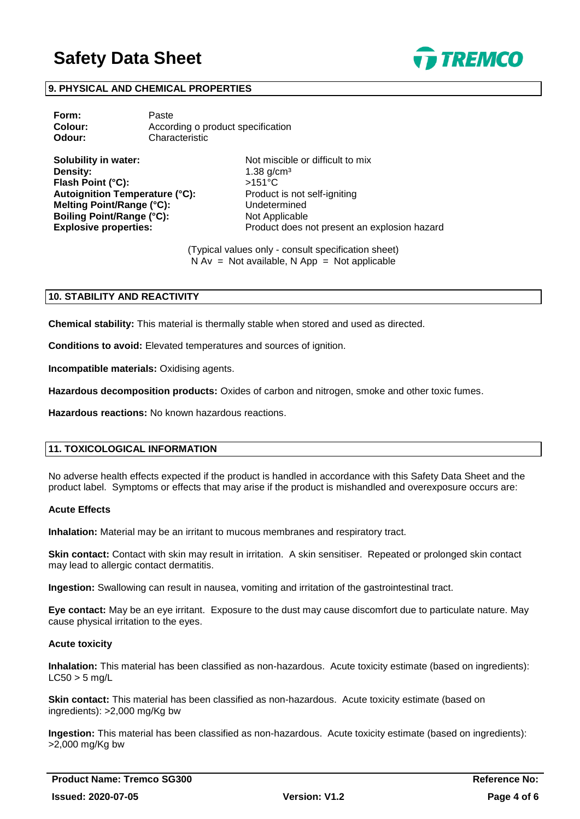

### **9. PHYSICAL AND CHEMICAL PROPERTIES**

| Form:   | Paste                             |
|---------|-----------------------------------|
| Colour: | According o product specification |
| Odour:  | Characteristic                    |

**Solubility in water:** Not miscible or difficult to mix **Density:** 1.38 g/cm<sup>3</sup> **Flash Point (°C):** >151°C **Autoignition Temperature (°C):** Product is not self-igniting **Melting Point/Range (°C):** Undetermined **Boiling Point/Range (°C):** Not Applicable

**Explosive properties:** Product does not present an explosion hazard

(Typical values only - consult specification sheet)  $N Av = Not available, N App = Not applicable$ 

#### **10. STABILITY AND REACTIVITY**

**Chemical stability:** This material is thermally stable when stored and used as directed.

**Conditions to avoid:** Elevated temperatures and sources of ignition.

**Incompatible materials:** Oxidising agents.

**Hazardous decomposition products:** Oxides of carbon and nitrogen, smoke and other toxic fumes.

**Hazardous reactions:** No known hazardous reactions.

#### **11. TOXICOLOGICAL INFORMATION**

No adverse health effects expected if the product is handled in accordance with this Safety Data Sheet and the product label. Symptoms or effects that may arise if the product is mishandled and overexposure occurs are:

## **Acute Effects**

**Inhalation:** Material may be an irritant to mucous membranes and respiratory tract.

**Skin contact:** Contact with skin may result in irritation. A skin sensitiser. Repeated or prolonged skin contact may lead to allergic contact dermatitis.

**Ingestion:** Swallowing can result in nausea, vomiting and irritation of the gastrointestinal tract.

**Eye contact:** May be an eye irritant. Exposure to the dust may cause discomfort due to particulate nature. May cause physical irritation to the eyes.

#### **Acute toxicity**

**Inhalation:** This material has been classified as non-hazardous. Acute toxicity estimate (based on ingredients):  $LC50 > 5$  mg/L

**Skin contact:** This material has been classified as non-hazardous. Acute toxicity estimate (based on ingredients): >2,000 mg/Kg bw

**Ingestion:** This material has been classified as non-hazardous. Acute toxicity estimate (based on ingredients): >2,000 mg/Kg bw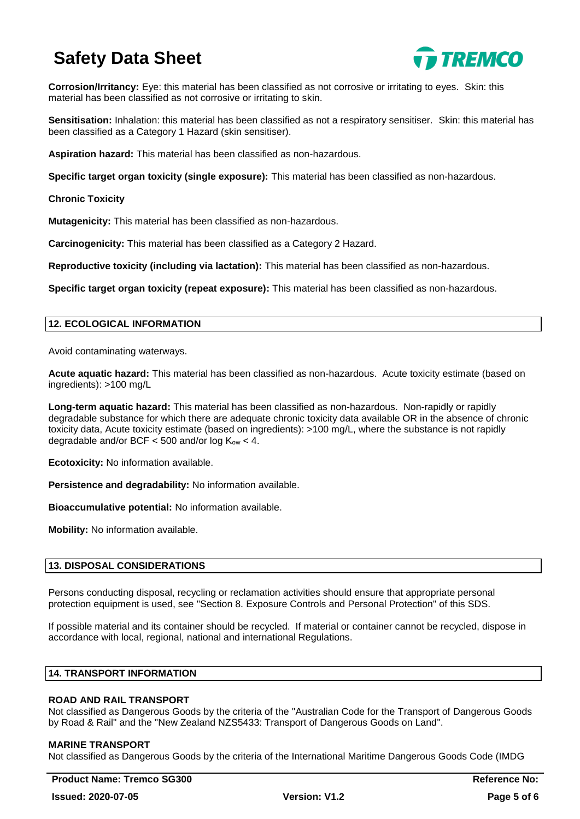

**Corrosion/Irritancy:** Eye: this material has been classified as not corrosive or irritating to eyes. Skin: this material has been classified as not corrosive or irritating to skin.

**Sensitisation:** Inhalation: this material has been classified as not a respiratory sensitiser. Skin: this material has been classified as a Category 1 Hazard (skin sensitiser).

**Aspiration hazard:** This material has been classified as non-hazardous.

**Specific target organ toxicity (single exposure):** This material has been classified as non-hazardous.

**Chronic Toxicity**

**Mutagenicity:** This material has been classified as non-hazardous.

**Carcinogenicity:** This material has been classified as a Category 2 Hazard.

**Reproductive toxicity (including via lactation):** This material has been classified as non-hazardous.

**Specific target organ toxicity (repeat exposure):** This material has been classified as non-hazardous.

#### **12. ECOLOGICAL INFORMATION**

Avoid contaminating waterways.

**Acute aquatic hazard:** This material has been classified as non-hazardous. Acute toxicity estimate (based on ingredients): >100 mg/L

**Long-term aquatic hazard:** This material has been classified as non-hazardous. Non-rapidly or rapidly degradable substance for which there are adequate chronic toxicity data available OR in the absence of chronic toxicity data, Acute toxicity estimate (based on ingredients): >100 mg/L, where the substance is not rapidly degradable and/or BCF  $<$  500 and/or log K<sub>ow</sub>  $<$  4.

**Ecotoxicity:** No information available.

**Persistence and degradability:** No information available.

**Bioaccumulative potential:** No information available.

**Mobility:** No information available.

## **13. DISPOSAL CONSIDERATIONS**

Persons conducting disposal, recycling or reclamation activities should ensure that appropriate personal protection equipment is used, see "Section 8. Exposure Controls and Personal Protection" of this SDS.

If possible material and its container should be recycled. If material or container cannot be recycled, dispose in accordance with local, regional, national and international Regulations.

#### **14. TRANSPORT INFORMATION**

## **ROAD AND RAIL TRANSPORT**

Not classified as Dangerous Goods by the criteria of the "Australian Code for the Transport of Dangerous Goods by Road & Rail" and the "New Zealand NZS5433: Transport of Dangerous Goods on Land".

#### **MARINE TRANSPORT**

Not classified as Dangerous Goods by the criteria of the International Maritime Dangerous Goods Code (IMDG